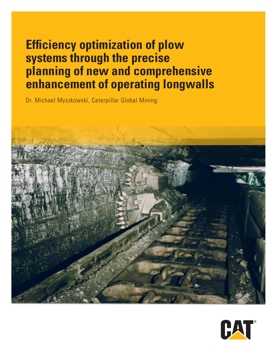# **Efficiency optimization of plow systems through the precise planning of new and comprehensive enhancement of operating longwalls**

Dr. Michael Myszkowski, Caterpillar Global Mining



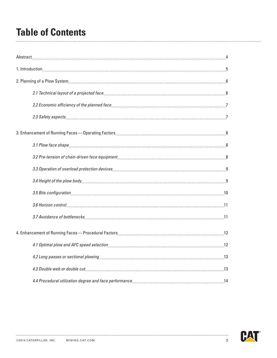### **Table of Contents**

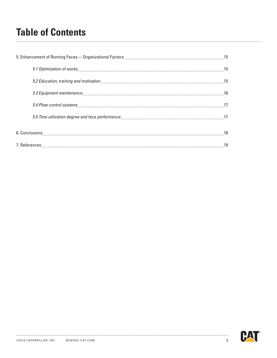### **Table of Contents**

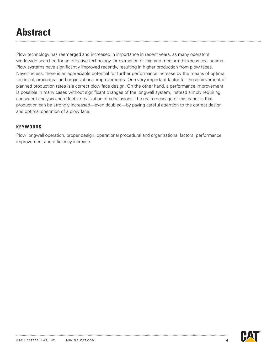### **Abstract**

Plow technology has reemerged and increased in importance in recent years, as many operators worldwide searched for an effective technology for extraction of thin and medium-thickness coal seams. Plow systems have significantly improved recently, resulting in higher production from plow faces. Nevertheless, there is an appreciable potential for further performance increase by the means of optimal technical, procedural and organizational improvements. One very important factor for the achievement of planned production rates is a correct plow face design. On the other hand, a performance improvement is possible in many cases without significant changes of the longwall system, instead simply requiring consistent analysis and effective realization of conclusions. The main message of this paper is that production can be strongly increased—even doubled—by paying careful attention to the correct design and optimal operation of a plow face.

#### **KEYWORDS**

Plow longwall operation, proper design, operational procedural and organizational factors, performance improvement and efficiency increase.

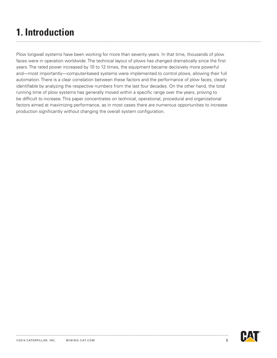## **1. Introduction**

Plow longwall systems have been working for more than seventy years. In that time, thousands of plow faces were in operation worldwide. The technical layout of plows has changed dramatically since the first years. The rated power increased by 10 to 12 times, the equipment became decisively more powerful and—most importantly—computer-based systems were implemented to control plows, allowing their full automation. There is a clear correlation between these factors and the performance of plow faces, clearly identifiable by analyzing the respective numbers from the last four decades. On the other hand, the total running time of plow systems has generally moved within a specific range over the years, proving to be difficult to increase. This paper concentrates on technical, operational, procedural and organizational factors aimed at maximizing performance, as in most cases there are numerous opportunities to increase production significantly without changing the overall system configuration.

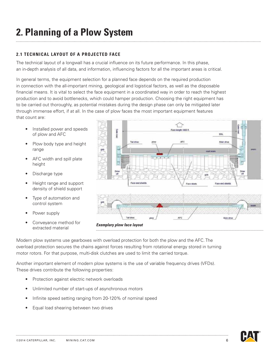## **2. Planning of a Plow System**

#### **2.1 TECHNICAL LAYOUT OF A PROJECTED FACE**

The technical layout of a longwall has a crucial influence on its future performance. In this phase, an in-depth analysis of all data, and information, influencing factors for all the important areas is critical.

In general terms, the equipment selection for a planned face depends on the required production in connection with the all-important mining, geological and logistical factors, as well as the disposable financial means. It is vital to select the face equipment in a coordinated way in order to reach the highest production and to avoid bottlenecks, which could hamper production. Choosing the right equipment has to be carried out thoroughly, as potential mistakes during the design phase can only be mitigated later through immense effort, if at all. In the case of plow faces the most important equipment features that count are:

- Installed power and speeds of plow and AFC
- Plow body type and height range
- AFC width and spill plate height
- Discharge type
- Height range and support density of shield support
- Type of automation and control system
- Power supply
- Conveyance method for extracted material



*Exemplary plow face layout*

Modern plow systems use gearboxes with overload protection for both the plow and the AFC. The overload protection secures the chains against forces resulting from rotational energy stored in turning motor rotors. For that purpose, multi-disk clutches are used to limit the carried torque.

Another important element of modern plow systems is the use of variable frequency drives (VFDs). These drives contribute the following properties:

- Protection against electric network overloads
- Unlimited number of start-ups of asynchronous motors
- Infinite speed setting ranging from 20-120% of nominal speed
- Equal load shearing between two drives

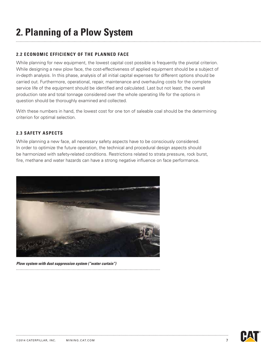### **2. Planning of a Plow System**

#### **2.2 ECONOMIC EFFICIENCY OF THE PLANNED FACE**

While planning for new equipment, the lowest capital cost possible is frequently the pivotal criterion. While designing a new plow face, the cost-effectiveness of applied equipment should be a subject of in-depth analysis. In this phase, analysis of all initial capital expenses for different options should be carried out. Furthermore, operational, repair, maintenance and overhauling costs for the complete service life of the equipment should be identified and calculated. Last but not least, the overall production rate and total tonnage considered over the whole operating life for the options in question should be thoroughly examined and collected.

With these numbers in hand, the lowest cost for one ton of saleable coal should be the determining criterion for optimal selection.

#### **2.3 SAFETY ASPECTS**

While planning a new face, all necessary safety aspects have to be consciously considered. In order to optimize the future operation, the technical and procedural design aspects should be harmonized with safety-related conditions. Restrictions related to strata pressure, rock burst, fire, methane and water hazards can have a strong negative influence on face performance.



*Plow system with dust suppression system ("water curtain")*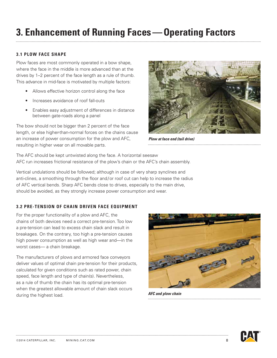### **3. Enhancement of Running Faces—Operating Factors**

#### **3.1 PLOW FACE SHAPE**

Plow faces are most commonly operated in a bow shape, where the face in the middle is more advanced than at the drives by 1–2 percent of the face length as a rule of thumb. This advance in mid-face is motivated by multiple factors:

- Allows effective horizon control along the face
- Increases avoidance of roof fall-outs
- Enables easy adjustment of differences in distance between gate-roads along a panel

The bow should not be bigger than 2 percent of the face length, or else higher-than-normal forces on the chains cause an increase of power consumption for the plow and AFC, resulting in higher wear on all movable parts.



*Plow at face end (tail drive)*

The AFC should be kept untwisted along the face. A horizontal seesaw AFC run increases frictional resistance of the plow's chain or the AFC's chain assembly.

Vertical undulations should be followed; although in case of very sharp synclines and anti-clines, a smoothing through the floor and/or roof cut can help to increase the radius of AFC vertical bends. Sharp AFC bends close to drives, especially to the main drive, should be avoided, as they strongly increase power consumption and wear.

#### **3.2 PRE-TENSION OF CHAIN DRIVEN FACE EQUIPMENT**

For the proper functionality of a plow and AFC, the chains of both devices need a correct pre-tension. Too low a pre-tension can lead to excess chain slack and result in breakages. On the contrary, too high a pre-tension causes high power consumption as well as high wear and—in the worst cases— a chain breakage.

The manufacturers of plows and armored face conveyors deliver values of optimal chain pre-tension for their products, calculated for given conditions such as rated power, chain speed, face length and type of chain(s). Nevertheless, as a rule of thumb the chain has its optimal pre-tension when the greatest allowable amount of chain slack occurs during the highest load.



*AFC and plow chain*

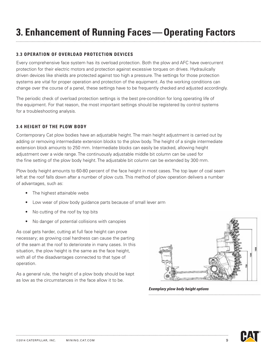#### **3.3 OPERATION OF OVERLOAD PROTECTION DEVICES**

Every comprehensive face system has its overload protection. Both the plow and AFC have overcurrent protection for their electric motors and protection against excessive torques on drives. Hydraulically driven devices like shields are protected against too high a pressure. The settings for those protection systems are vital for proper operation and protection of the equipment. As the working conditions can change over the course of a panel, these settings have to be frequently checked and adjusted accordingly.

The periodic check of overload protection settings is the best pre-condition for long operating life of the equipment. For that reason, the most important settings should be registered by control systems for a troubleshooting analysis.

#### **3.4 HEIGHT OF THE PLOW BODY**

Contemporary Cat plow bodies have an adjustable height. The main height adjustment is carried out by adding or removing intermediate extension blocks to the plow body. The height of a single intermediate extension block amounts to 250 mm. Intermediate blocks can easily be stacked, allowing height adjustment over a wide range. The continuously adjustable middle bit column can be used for the fine setting of the plow body height. The adjustable bit column can be extended by 300 mm.

Plow body height amounts to 60-80 percent of the face height in most cases. The top layer of coal seam left at the roof falls down after a number of plow cuts. This method of plow operation delivers a number of advantages, such as:

- The highest attainable webs
- Low wear of plow body guidance parts because of small lever arm
- No cutting of the roof by top bits
- No danger of potential collisions with canopies

As coal gets harder, cutting at full face height can prove necessary; as growing coal hardness can cause the parting of the seam at the roof to deteriorate in many cases. In this situation, the plow height is the same as the face height, with all of the disadvantages connected to that type of operation.

As a general rule, the height of a plow body should be kept as low as the circumstances in the face allow it to be.



*Exemplary plow body height options*

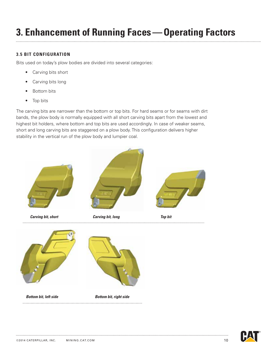### **3. Enhancement of Running Faces—Operating Factors**

#### **3.5 BIT CONFIGURATION**

Bits used on today's plow bodies are divided into several categories:

- Carving bits short
- Carving bits long
- Bottom bits
- Top bits

The carving bits are narrower than the bottom or top bits. For hard seams or for seams with dirt bands, the plow body is normally equipped with all short carving bits apart from the lowest and highest bit holders, where bottom and top bits are used accordingly. In case of weaker seams, short and long carving bits are staggered on a plow body. This configuration delivers higher stability in the vertical run of the plow body and lumpier coal.



*Bottom bit, left side*

*Bottom bit, right side*

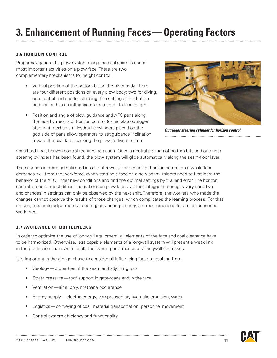### **3. Enhancement of Running Faces—Operating Factors**

#### **3.6 HORIZON CONTROL**

Proper navigation of a plow system along the coal seam is one of most important activities on a plow face. There are two complementary mechanisms for height control.

- Vertical position of the bottom bit on the plow body. There are four different positions on every plow body: two for diving, one neutral and one for climbing. The setting of the bottom bit position has an influence on the complete face length.
- Position and angle of plow guidance and AFC pans along the face by means of horizon control (called also outrigger steering) mechanism. Hydraulic cylinders placed on the gob side of pans allow operators to set guidance inclination toward the coal face, causing the plow to dive or climb.



*Outrigger steering cylinder for horizon control*

On a hard floor, horizon control requires no action. Once a neutral position of bottom bits and outrigger steering cylinders has been found, the plow system will glide automatically along the seam-floor layer.

The situation is more complicated in case of a weak floor. Efficient horizon control on a weak floor demands skill from the workforce. When starting a face on a new seam, miners need to first learn the behavior of the AFC under new conditions and find the optimal settings by trial and error. The horizon control is one of most difficult operations on plow faces, as the outrigger steering is very sensitive and changes in settings can only be observed by the next shift. Therefore, the workers who made the changes cannot observe the results of those changes, which complicates the learning process. For that reason, moderate adjustments to outrigger steering settings are recommended for an inexperienced workforce.

#### **3.7 AVOIDANCE OF BOTTLENECKS**

In order to optimize the use of longwall equipment, all elements of the face and coal clearance have to be harmonized. Otherwise, less capable elements of a longwall system will present a weak link in the production chain. As a result, the overall performance of a longwall decreases.

It is important in the design phase to consider all influencing factors resulting from:

- Geology—properties of the seam and adjoining rock
- Strata pressure—roof support in gate-roads and in the face
- Ventilation—air supply, methane occurrence
- Energy supply—electric energy, compressed air, hydraulic emulsion, water
- Logistics—conveying of coal, material transportation, personnel movement
- Control system efficiency and functionality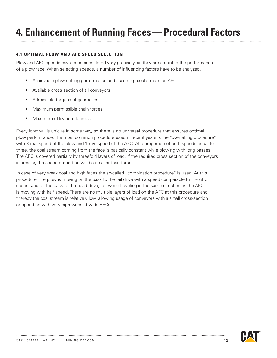### **4. Enhancement of Running Faces—Procedural Factors**

#### **4.1 OPTIMAL PLOW AND AFC SPEED SELECTION**

Plow and AFC speeds have to be considered very precisely, as they are crucial to the performance of a plow face. When selecting speeds, a number of influencing factors have to be analyzed.

- Achievable plow cutting performance and according coal stream on AFC
- Available cross section of all conveyors
- Admissible torques of gearboxes
- Maximum permissible chain forces
- Maximum utilization degrees

Every longwall is unique in some way, so there is no universal procedure that ensures optimal plow performance. The most common procedure used in recent years is the "overtaking procedure" with 3 m/s speed of the plow and 1 m/s speed of the AFC. At a proportion of both speeds equal to three, the coal stream coming from the face is basically constant while plowing with long passes. The AFC is covered partially by threefold layers of load. If the required cross section of the conveyors is smaller, the speed proportion will be smaller than three.

In case of very weak coal and high faces the so-called "combination procedure" is used. At this procedure, the plow is moving on the pass to the tail drive with a speed comparable to the AFC speed, and on the pass to the head drive, i.e. while traveling in the same direction as the AFC, is moving with half speed. There are no multiple layers of load on the AFC at this procedure and thereby the coal stream is relatively low, allowing usage of conveyors with a small cross-section or operation with very high webs at wide AFCs.



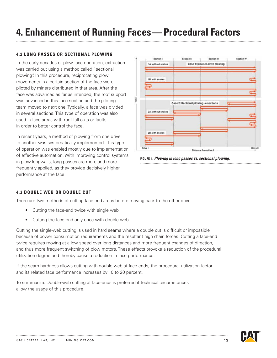### **4. Enhancement of Running Faces—Procedural Factors**

#### **4.2 LONG PASSES OR SECTIONAL PLOWING**

In the early decades of plow face operation, extraction was carried out using a method called "sectional plowing". In this procedure, reciprocating plow movements in a certain section of the face were piloted by miners distributed in that area. After the face was advanced as far as intended, the roof support was advanced in this face section and the piloting team moved to next one. Typically, a face was divided in several sections. This type of operation was also used in face areas with roof fall-outs or faults, in order to better control the face.

In recent years, a method of plowing from one drive to another was systematically implemented. This type of operation was enabled mostly due to implementation of effective automation. With improving control systems in plow longwalls, long passes are more and more frequently applied, as they provide decisively higher performance at the face.





#### **4.3 DOUBLE WEB OR DOUBLE CUT**

There are two methods of cutting face-end areas before moving back to the other drive.

- Cutting the face-end twice with single web
- Cutting the face-end only once with double web

Cutting the single-web cutting is used in hard seams where a double cut is difficult or impossible because of power consumption requirements and the resultant high chain forces. Cutting a face-end twice requires moving at a low speed over long distances and more frequent changes of direction, and thus more frequent switching of plow motors. These effects provoke a reduction of the procedural utilization degree and thereby cause a reduction in face performance.

If the seam hardness allows cutting with double web at face-ends, the procedural utilization factor and its related face performance increases by 10 to 20 percent.

To summarize: Double-web cutting at face-ends is preferred if technical circumstances allow the usage of this procedure.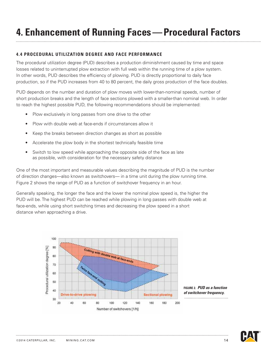## **4. Enhancement of Running Faces—Procedural Factors**

#### **4.4 PROCEDURAL UTILIZATION DEGREE AND FACE PERFORMANCE**

The procedural utilization degree (PUD) describes a production diminishment caused by time and space losses related to uninterrupted plow extraction with full web within the running time of a plow system. In other words, PUD describes the efficiency of plowing. PUD is directly proportional to daily face production, so if the PUD increases from 40 to 80 percent, the daily gross production of the face doubles.

PUD depends on the number and duration of plow moves with lower-than-nominal speeds, number of short production breaks and the length of face sections plowed with a smaller-than nominal web. In order to reach the highest possible PUD, the following recommendations should be implemented:

- Plow exclusively in long passes from one drive to the other
- Plow with double web at face-ends if circumstances allow it
- Keep the breaks between direction changes as short as possible
- Accelerate the plow body in the shortest technically feasible time
- Switch to low speed while approaching the opposite side of the face as late as possible, with consideration for the necessary safety distance

One of the most important and measurable values describing the magnitude of PUD is the number of direction changes—also known as switchovers— in a time unit during the plow running time. Figure 2 shows the range of PUD as a function of switchover frequency in an hour.

Generally speaking, the longer the face and the lower the nominal plow speed is, the higher the PUD will be. The highest PUD can be reached while plowing in long passes with double web at face-ends, while using short switching times and decreasing the plow speed in a short distance when approaching a drive.





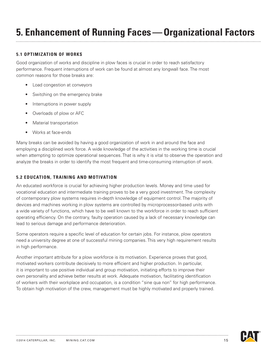### **5. Enhancement of Running Faces—Organizational Factors**

#### **5.1 OPTIMIZATION OF WORKS**

Good organization of works and discipline in plow faces is crucial in order to reach satisfactory performance. Frequent interruptions of work can be found at almost any longwall face. The most common reasons for those breaks are:

- Load congestion at conveyors
- Switching on the emergency brake
- Interruptions in power supply
- Overloads of plow or AFC
- **Material transportation**
- Works at face-ends

Many breaks can be avoided by having a good organization of work in and around the face and employing a disciplined work force. A wide knowledge of the activities in the working time is crucial when attempting to optimize operational sequences. That is why it is vital to observe the operation and analyze the breaks in order to identify the most frequent and time-consuming interruption of work.

#### **5.2 EDUCATION, TRAINING AND MOTIVATION**

An educated workforce is crucial for achieving higher production levels. Money and time used for vocational education and intermediate training proves to be a very good investment. The complexity of contemporary plow systems requires in-depth knowledge of equipment control. The majority of devices and machines working in plow systems are controlled by microprocessor-based units with a wide variety of functions, which have to be well known to the workforce in order to reach sufficient operating efficiency. On the contrary, faulty operation caused by a lack of necessary knowledge can lead to serious damage and performance deterioration.

Some operators require a specific level of education for certain jobs. For instance, plow operators need a university degree at one of successful mining companies. This very high requirement results in high performance.

Another important attribute for a plow workforce is its motivation. Experience proves that good, motivated workers contribute decisively to more efficient and higher production. In particular, it is important to use positive individual and group motivation, initiating efforts to improve their own personality and achieve better results at work. Adequate motivation, facilitating identification of workers with their workplace and occupation, is a condition "sine qua non" for high performance. To obtain high motivation of the crew, management must be highly motivated and properly trained.

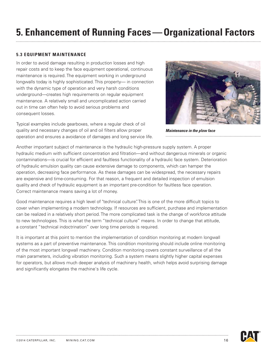### **5. Enhancement of Running Faces—Organizational Factors**

#### **5.3 EQUIPMENT MAINTENANCE**

In order to avoid damage resulting in production losses and high repair costs and to keep the face equipment operational, continuous maintenance is required. The equipment working in underground longwalls today is highly sophisticated. This property— in connection with the dynamic type of operation and very harsh conditions underground—creates high requirements on regular equipment maintenance. A relatively small and uncomplicated action carried out in time can often help to avoid serious problems and consequent losses.

Typical examples include gearboxes, where a regular check of oil quality and necessary changes of oil and oil filters allow proper operation and ensures a avoidance of damages and long service life.



*Maintenance in the plow face*

Another important subject of maintenance is the hydraulic high-pressure supply system. A proper hydraulic medium with sufficient concentration and filtration—and without dangerous minerals or organic contaminations—is crucial for efficient and faultless functionality of a hydraulic face system. Deterioration of hydraulic emulsion quality can cause extensive damage to components, which can hamper the operation, decreasing face performance. As these damages can be widespread, the necessary repairs are expensive and time-consuming. For that reason, a frequent and detailed inspection of emulsion quality and check of hydraulic equipment is an important pre-condition for faultless face operation. Correct maintenance means saving a lot of money.

Good maintenance requires a high level of "technical culture". This is one of the more difficult topics to cover when implementing a modern technology. If resources are sufficient, purchase and implementation can be realized in a relatively short period. The more complicated task is the change of workforce attitude to new technologies. This is what the term "technical culture" means. In order to change that attitude, a constant "technical indoctrination" over long time periods is required.

It is important at this point to mention the implementation of condition monitoring at modern longwall systems as a part of preventive maintenance. This condition monitoring should include online monitoring of the most important longwall machinery. Condition monitoring covers constant surveillance of all the main parameters, including vibration monitoring. Such a system means slightly higher capital expenses for operators, but allows much deeper analysis of machinery health, which helps avoid surprising damage and significantly elongates the machine's life cycle.

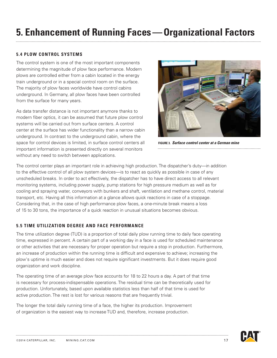## **5. Enhancement of Running Faces—Organizational Factors**

#### **5.4 PLOW CONTROL SYSTEMS**

The control system is one of the most important components determining the magnitude of plow face performance. Modern plows are controlled either from a cabin located in the energy train underground or in a special control room on the surface. The majority of plow faces worldwide have control cabins underground. In Germany, all plow faces have been controlled from the surface for many years.

As data transfer distance is not important anymore thanks to modern fiber optics, it can be assumed that future plow control systems will be carried out from surface centers. A control center at the surface has wider functionality than a narrow cabin underground. In contrast to the underground cabin, where the space for control devices is limited, in surface control centers all important information is presented directly on several monitors without any need to switch between applications.



**Figure 3.** *Surface control center at a German mine*

The control center plays an important role in achieving high production. The dispatcher's duty—in addition to the effective control of all plow system devices—is to react as quickly as possible in case of any unscheduled breaks. In order to act effectively, the dispatcher has to have direct access to all relevant monitoring systems, including power supply, pump stations for high pressure medium as well as for cooling and spraying water, conveyors with bunkers and shaft, ventilation and methane control, material transport, etc. Having all this information at a glance allows quick reactions in case of a stoppage. Considering that, in the case of high performance plow faces, a one-minute break means a loss of 15 to 30 tons, the importance of a quick reaction in unusual situations becomes obvious.

#### **5.5 Time utilization degree and face performance**

The time utilization degree (TUD) is a proportion of total daily plow running time to daily face operating time, expressed in percent. A certain part of a working day in a face is used for scheduled maintenance or other activities that are necessary for proper operation but require a stop in production. Furthermore, an increase of production within the running time is difficult and expensive to achieve; increasing the plow's uptime is much easier and does not require significant investments. But it does require good organization and work discipline.

The operating time of an average plow face accounts for 18 to 22 hours a day. A part of that time is necessary for process-indispensable operations. The residual time can be theoretically used for production. Unfortunately, based upon available statistics less than half of that time is used for active production. The rest is lost for various reasons that are frequently trivial.

The longer the total daily running time of a face, the higher its production. Improvement of organization is the easiest way to increase TUD and, therefore, increase production.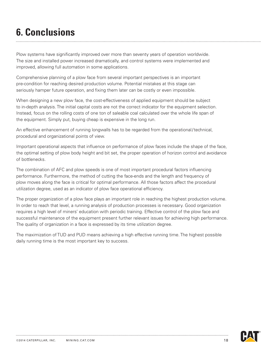### **6. Conclusions**

Plow systems have significantly improved over more than seventy years of operation worldwide. The size and installed power increased dramatically, and control systems were implemented and improved, allowing full automation in some applications.

Comprehensive planning of a plow face from several important perspectives is an important pre-condition for reaching desired production volume. Potential mistakes at this stage can seriously hamper future operation, and fixing them later can be costly or even impossible.

When designing a new plow face, the cost-effectiveness of applied equipment should be subject to in-depth analysis. The initial capital costs are not the correct indicator for the equipment selection. Instead, focus on the rolling costs of one ton of saleable coal calculated over the whole life span of the equipment. Simply put, buying cheap is expensive in the long run.

An effective enhancement of running longwalls has to be regarded from the operational/technical, procedural and organizational points of view.

Important operational aspects that influence on performance of plow faces include the shape of the face, the optimal setting of plow body height and bit set, the proper operation of horizon control and avoidance of bottlenecks.

The combination of AFC and plow speeds is one of most important procedural factors influencing performance. Furthermore, the method of cutting the face-ends and the length and frequency of plow moves along the face is critical for optimal performance. All those factors affect the procedural utilization degree, used as an indicator of plow face operational efficiency.

The proper organization of a plow face plays an important role in reaching the highest production volume. In order to reach that level, a running analysis of production processes is necessary. Good organization requires a high level of miners' education with periodic training. Effective control of the plow face and successful maintenance of the equipment present further relevant issues for achieving high performance. The quality of organization in a face is expressed by its time utilization degree.

The maximization of TUD and PUD means achieving a high effective running time. The highest possible daily running time is the most important key to success.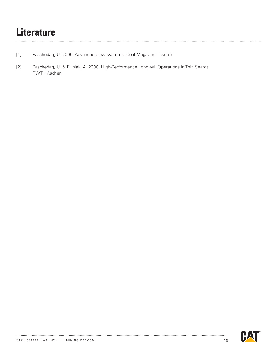### **Literature**

- [1] Paschedag, U. 2005. Advanced plow systems. Coal Magazine, Issue 7
- [2] Paschedag, U. & Filipiak, A. 2000. High-Performance Longwall Operations in Thin Seams. RWTH Aachen